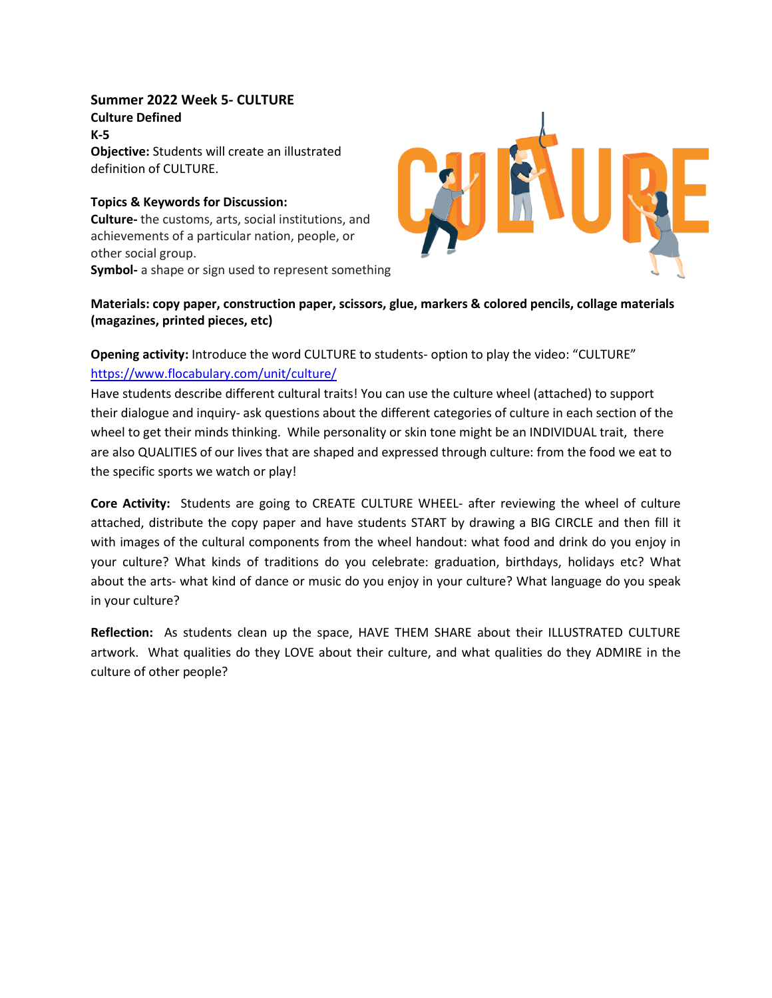**Summer 2022 Week 5- CULTURE Culture Defined K-5 Objective:** Students will create an illustrated definition of CULTURE.

**Topics & Keywords for Discussion: Culture-** the customs, arts, social institutions, and achievements of a particular nation, people, or other social group. **Symbol-** a shape or sign used to represent something



## **Materials: copy paper, construction paper, scissors, glue, markers & colored pencils, collage materials (magazines, printed pieces, etc)**

## **Opening activity:** Introduce the word CULTURE to students- option to play the video: "CULTURE" <https://www.flocabulary.com/unit/culture/>

Have students describe different cultural traits! You can use the culture wheel (attached) to support their dialogue and inquiry- ask questions about the different categories of culture in each section of the wheel to get their minds thinking. While personality or skin tone might be an INDIVIDUAL trait, there are also QUALITIES of our lives that are shaped and expressed through culture: from the food we eat to the specific sports we watch or play!

**Core Activity:** Students are going to CREATE CULTURE WHEEL- after reviewing the wheel of culture attached, distribute the copy paper and have students START by drawing a BIG CIRCLE and then fill it with images of the cultural components from the wheel handout: what food and drink do you enjoy in your culture? What kinds of traditions do you celebrate: graduation, birthdays, holidays etc? What about the arts- what kind of dance or music do you enjoy in your culture? What language do you speak in your culture?

**Reflection:** As students clean up the space, HAVE THEM SHARE about their ILLUSTRATED CULTURE artwork. What qualities do they LOVE about their culture, and what qualities do they ADMIRE in the culture of other people?